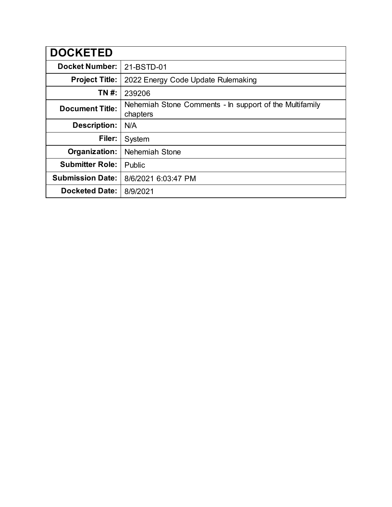| <b>DOCKETED</b>         |                                                                     |
|-------------------------|---------------------------------------------------------------------|
| <b>Docket Number:</b>   | 21-BSTD-01                                                          |
| <b>Project Title:</b>   | 2022 Energy Code Update Rulemaking                                  |
| TN #:                   | 239206                                                              |
| <b>Document Title:</b>  | Nehemiah Stone Comments - In support of the Multifamily<br>chapters |
| <b>Description:</b>     | N/A                                                                 |
| Filer:                  | System                                                              |
| Organization:           | Nehemiah Stone                                                      |
| <b>Submitter Role:</b>  | Public                                                              |
| <b>Submission Date:</b> | 8/6/2021 6:03:47 PM                                                 |
| <b>Docketed Date:</b>   | 8/9/2021                                                            |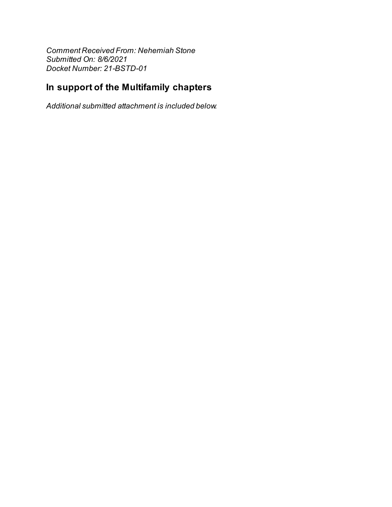Comment Received From: Nehemiah Stone Submitted On: 8/6/2021 Docket Number: 21-BSTD-01

## In support of the Multifamily chapters

Additional submitted attachment is included below.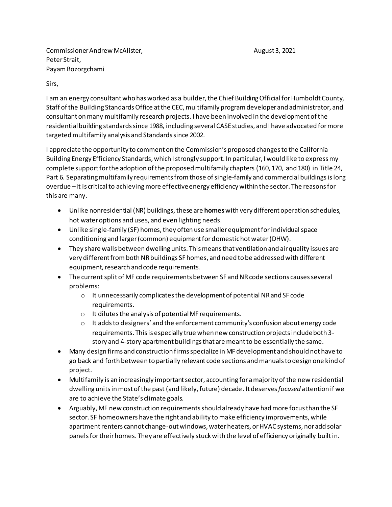Commissioner Andrew McAlister, August 3, 2021 Peter Strait, Payam Bozorgchami

## Sirs,

I am an energy consultant who has worked as a builder, the Chief Building Official for Humboldt County, Staff of the Building Standards Office at the CEC, multifamily program developer and administrator, and consultant on many multifamily research projects. I have been involved in the development of the residential building standards since 1988, including several CASE studies, and I have advocated for more targeted multifamily analysis and Standards since 2002.

I appreciate the opportunity to comment on the Commission's proposed changes to the California Building Energy Efficiency Standards, which I strongly support. In particular, I would like to express my complete support for the adoption of the proposed multifamily chapters (160, 170, and 180) in Title 24, Part 6. Separating multifamily requirements from those of single-family and commercial buildings is long overdue –it is critical to achieving more effective energy efficiency within the sector. The reasons for this are many.

- Unlike nonresidential (NR) buildings, these are **homes**with very different operation schedules, hot water options and uses, and even lighting needs.
- Unlike single-family (SF) homes, they often use smaller equipment for individual space conditioning and larger (common) equipment for domestic hot water (DHW).
- They share walls between dwelling units. This means that ventilation and air quality issues are very different fromboth NR buildings SF homes, and need to be addressed with different equipment, research and code requirements.
- The current split of MF code requirements between SF and NR code sections causes several problems:
	- o It unnecessarily complicates the development of potential NR and SF code requirements.
	- o It dilutes the analysis of potential MF requirements.
	- $\circ$  It adds to designers' and the enforcement community's confusion about energy code requirements. This is especially true when new construction projects include both 3 story and 4-story apartment buildings that are meant to be essentially the same.
- Many design firms and construction firms specialize in MF development and should not have to go back and forth between to partially relevant code sections and manuals to design one kind of project.
- Multifamily is an increasingly important sector, accounting for a majority of the new residential dwelling units in most of the past (and likely, future) decade. It deserves *focused* attention if we are to achieve the State's climate goals.
- Arguably, MF new construction requirements should already have had more focus than the SF sector. SF homeowners have the right and ability to make efficiency improvements, while apartment renters cannot change-out windows, water heaters, or HVAC systems, nor add solar panels for their homes. They are effectively stuck with the level of efficiency originally built in.